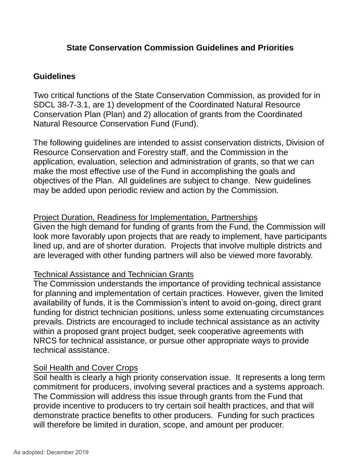## **State Conservation Commission Guidelines and Priorities**

#### **Guidelines**

Two critical functions of the State Conservation Commission, as provided for in SDCL 38-7-3.1, are 1) development of the Coordinated Natural Resource Conservation Plan (Plan) and 2) allocation of grants from the Coordinated Natural Resource Conservation Fund (Fund).

The following guidelines are intended to assist conservation districts, Division of Resource Conservation and Forestry staff, and the Commission in the application, evaluation, selection and administration of grants, so that we can make the most effective use of the Fund in accomplishing the goals and objectives of the Plan. All guidelines are subject to change. New guidelines may be added upon periodic review and action by the Commission.

#### Project Duration, Readiness for Implementation, Partnerships

Given the high demand for funding of grants from the Fund, the Commission will look more favorably upon projects that are ready to implement, have participants lined up, and are of shorter duration. Projects that involve multiple districts and are leveraged with other funding partners will also be viewed more favorably.

#### Technical Assistance and Technician Grants

The Commission understands the importance of providing technical assistance for planning and implementation of certain practices. However, given the limited availability of funds, it is the Commission's intent to avoid on-going, direct grant funding for district technician positions, unless some extenuating circumstances prevails. Districts are encouraged to include technical assistance as an activity within a proposed grant project budget, seek cooperative agreements with NRCS for technical assistance, or pursue other appropriate ways to provide technical assistance.

#### Soil Health and Cover Crops

Soil health is clearly a high priority conservation issue. It represents a long term commitment for producers, involving several practices and a systems approach. The Commission will address this issue through grants from the Fund that provide incentive to producers to try certain soil health practices, and that will demonstrate practice benefits to other producers. Funding for such practices will therefore be limited in duration, scope, and amount per producer.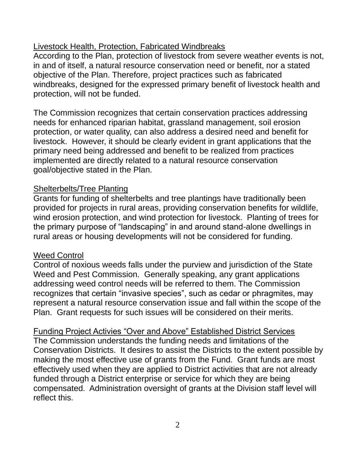## Livestock Health, Protection, Fabricated Windbreaks

According to the Plan, protection of livestock from severe weather events is not, in and of itself, a natural resource conservation need or benefit, nor a stated objective of the Plan. Therefore, project practices such as fabricated windbreaks, designed for the expressed primary benefit of livestock health and protection, will not be funded.

The Commission recognizes that certain conservation practices addressing needs for enhanced riparian habitat, grassland management, soil erosion protection, or water quality, can also address a desired need and benefit for livestock. However, it should be clearly evident in grant applications that the primary need being addressed and benefit to be realized from practices implemented are directly related to a natural resource conservation goal/objective stated in the Plan.

## Shelterbelts/Tree Planting

Grants for funding of shelterbelts and tree plantings have traditionally been provided for projects in rural areas, providing conservation benefits for wildlife, wind erosion protection, and wind protection for livestock. Planting of trees for the primary purpose of "landscaping" in and around stand-alone dwellings in rural areas or housing developments will not be considered for funding.

## Weed Control

Control of noxious weeds falls under the purview and jurisdiction of the State Weed and Pest Commission. Generally speaking, any grant applications addressing weed control needs will be referred to them. The Commission recognizes that certain "invasive species", such as cedar or phragmites, may represent a natural resource conservation issue and fall within the scope of the Plan. Grant requests for such issues will be considered on their merits.

Funding Project Activies "Over and Above" Established District Services The Commission understands the funding needs and limitations of the Conservation Districts. It desires to assist the Districts to the extent possible by making the most effective use of grants from the Fund. Grant funds are most effectively used when they are applied to District activities that are not already funded through a District enterprise or service for which they are being compensated. Administration oversight of grants at the Division staff level will reflect this.